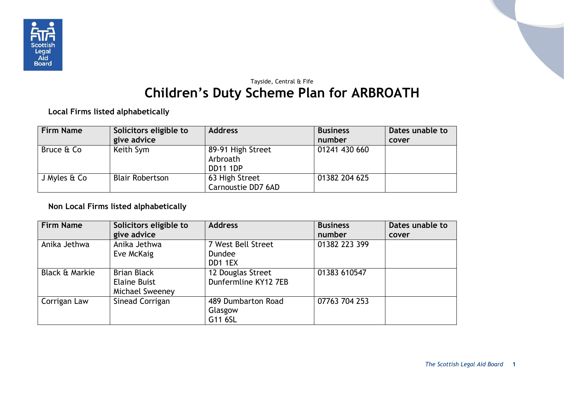

## Tayside, Central & Fife **Children's Duty Scheme Plan for ARBROATH**

**Local Firms listed alphabetically**

| <b>Firm Name</b> | Solicitors eligible to | <b>Address</b>                                   | <b>Business</b> | Dates unable to |
|------------------|------------------------|--------------------------------------------------|-----------------|-----------------|
|                  | give advice            |                                                  | number          | cover           |
| Bruce & Co       | Keith Sym              | 89-91 High Street<br>Arbroath<br><b>DD11 1DP</b> | 01241 430 660   |                 |
| J Myles & Co     | <b>Blair Robertson</b> | 63 High Street<br>Carnoustie DD7 6AD             | 01382 204 625   |                 |

## **Non Local Firms listed alphabetically**

| <b>Firm Name</b>          | Solicitors eligible to | <b>Address</b>       | <b>Business</b> | Dates unable to |
|---------------------------|------------------------|----------------------|-----------------|-----------------|
|                           | give advice            |                      | number          | cover           |
| Anika Jethwa              | Anika Jethwa           | 7 West Bell Street   | 01382 223 399   |                 |
|                           | Eve McKaig             | <b>Dundee</b>        |                 |                 |
|                           |                        | DD1 1EX              |                 |                 |
| <b>Black &amp; Markie</b> | <b>Brian Black</b>     | 12 Douglas Street    | 01383 610547    |                 |
|                           | <b>Elaine Buist</b>    | Dunfermline KY12 7EB |                 |                 |
|                           | Michael Sweeney        |                      |                 |                 |
| Corrigan Law              | Sinead Corrigan        | 489 Dumbarton Road   | 07763 704 253   |                 |
|                           |                        | Glasgow              |                 |                 |
|                           |                        | G11 6SL              |                 |                 |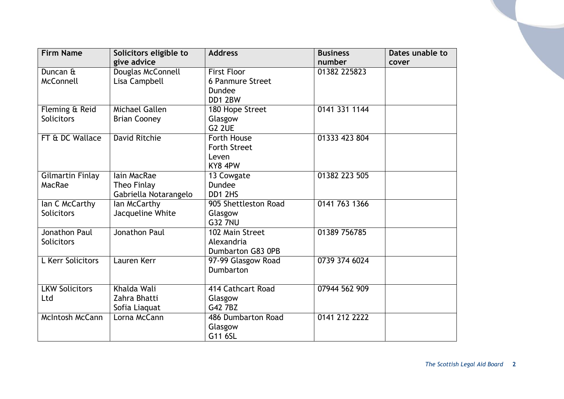| <b>Firm Name</b>       | Solicitors eligible to | <b>Address</b>          | <b>Business</b> | Dates unable to |
|------------------------|------------------------|-------------------------|-----------------|-----------------|
|                        | give advice            |                         | number          | cover           |
| Duncan &               | Douglas McConnell      | <b>First Floor</b>      | 01382 225823    |                 |
| McConnell              | Lisa Campbell          | <b>6 Panmure Street</b> |                 |                 |
|                        |                        | <b>Dundee</b>           |                 |                 |
|                        |                        | DD1 2BW                 |                 |                 |
| Fleming & Reid         | Michael Gallen         | 180 Hope Street         | 0141 331 1144   |                 |
| <b>Solicitors</b>      | <b>Brian Cooney</b>    | Glasgow                 |                 |                 |
|                        |                        | <b>G2 2UE</b>           |                 |                 |
| FT & DC Wallace        | <b>David Ritchie</b>   | Forth House             | 01333 423 804   |                 |
|                        |                        | <b>Forth Street</b>     |                 |                 |
|                        |                        | Leven                   |                 |                 |
|                        |                        | KY8 4PW                 |                 |                 |
| Gilmartin Finlay       | lain MacRae            | 13 Cowgate              | 01382 223 505   |                 |
| MacRae                 | Theo Finlay            | <b>Dundee</b>           |                 |                 |
|                        | Gabriella Notarangelo  | DD1 2HS                 |                 |                 |
| Ian C McCarthy         | lan McCarthy           | 905 Shettleston Road    | 0141 763 1366   |                 |
| <b>Solicitors</b>      | Jacqueline White       | Glasgow                 |                 |                 |
|                        |                        | <b>G32 7NU</b>          |                 |                 |
| Jonathon Paul          | Jonathon Paul          | 102 Main Street         | 01389 756785    |                 |
| <b>Solicitors</b>      |                        | Alexandria              |                 |                 |
|                        |                        | Dumbarton G83 0PB       |                 |                 |
| L Kerr Solicitors      | Lauren Kerr            | 97-99 Glasgow Road      | 0739 374 6024   |                 |
|                        |                        | Dumbarton               |                 |                 |
|                        |                        |                         |                 |                 |
| <b>LKW Solicitors</b>  | Khalda Wali            | 414 Cathcart Road       | 07944 562 909   |                 |
| Ltd                    | Zahra Bhatti           | Glasgow                 |                 |                 |
|                        | Sofia Liaquat          | G42 7BZ                 |                 |                 |
| <b>McIntosh McCann</b> | Lorna McCann           | 486 Dumbarton Road      | 0141 212 2222   |                 |
|                        |                        | Glasgow                 |                 |                 |
|                        |                        | G11 6SL                 |                 |                 |